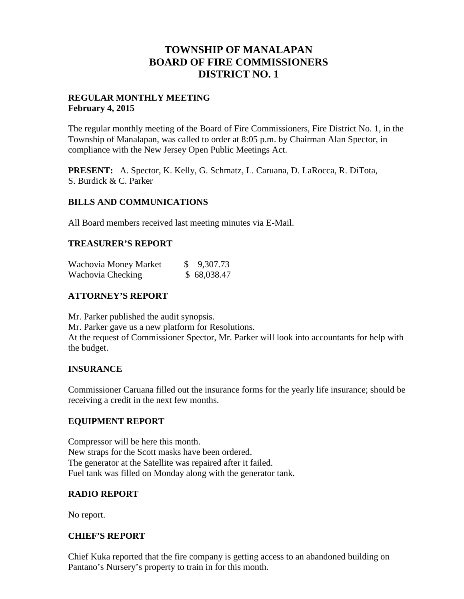# **TOWNSHIP OF MANALAPAN BOARD OF FIRE COMMISSIONERS DISTRICT NO. 1**

## **REGULAR MONTHLY MEETING February 4, 2015**

The regular monthly meeting of the Board of Fire Commissioners, Fire District No. 1, in the Township of Manalapan, was called to order at 8:05 p.m. by Chairman Alan Spector, in compliance with the New Jersey Open Public Meetings Act.

**PRESENT:** A. Spector, K. Kelly, G. Schmatz, L. Caruana, D. LaRocca, R. DiTota, S. Burdick & C. Parker

## **BILLS AND COMMUNICATIONS**

All Board members received last meeting minutes via E-Mail.

## **TREASURER'S REPORT**

| Wachovia Money Market | \$9,307.73  |
|-----------------------|-------------|
| Wachovia Checking     | \$68,038.47 |

# **ATTORNEY'S REPORT**

Mr. Parker published the audit synopsis. Mr. Parker gave us a new platform for Resolutions. At the request of Commissioner Spector, Mr. Parker will look into accountants for help with the budget.

# **INSURANCE**

Commissioner Caruana filled out the insurance forms for the yearly life insurance; should be receiving a credit in the next few months.

#### **EQUIPMENT REPORT**

Compressor will be here this month. New straps for the Scott masks have been ordered. The generator at the Satellite was repaired after it failed. Fuel tank was filled on Monday along with the generator tank.

#### **RADIO REPORT**

No report.

#### **CHIEF'S REPORT**

Chief Kuka reported that the fire company is getting access to an abandoned building on Pantano's Nursery's property to train in for this month.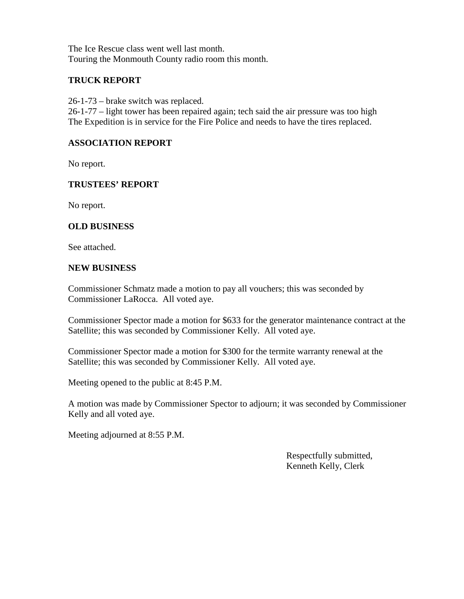The Ice Rescue class went well last month. Touring the Monmouth County radio room this month.

# **TRUCK REPORT**

26-1-73 – brake switch was replaced.

26-1-77 – light tower has been repaired again; tech said the air pressure was too high The Expedition is in service for the Fire Police and needs to have the tires replaced.

#### **ASSOCIATION REPORT**

No report.

#### **TRUSTEES' REPORT**

No report.

## **OLD BUSINESS**

See attached.

#### **NEW BUSINESS**

Commissioner Schmatz made a motion to pay all vouchers; this was seconded by Commissioner LaRocca. All voted aye.

Commissioner Spector made a motion for \$633 for the generator maintenance contract at the Satellite; this was seconded by Commissioner Kelly. All voted aye.

Commissioner Spector made a motion for \$300 for the termite warranty renewal at the Satellite; this was seconded by Commissioner Kelly. All voted aye.

Meeting opened to the public at 8:45 P.M.

A motion was made by Commissioner Spector to adjourn; it was seconded by Commissioner Kelly and all voted aye.

Meeting adjourned at 8:55 P.M.

Respectfully submitted, Kenneth Kelly, Clerk